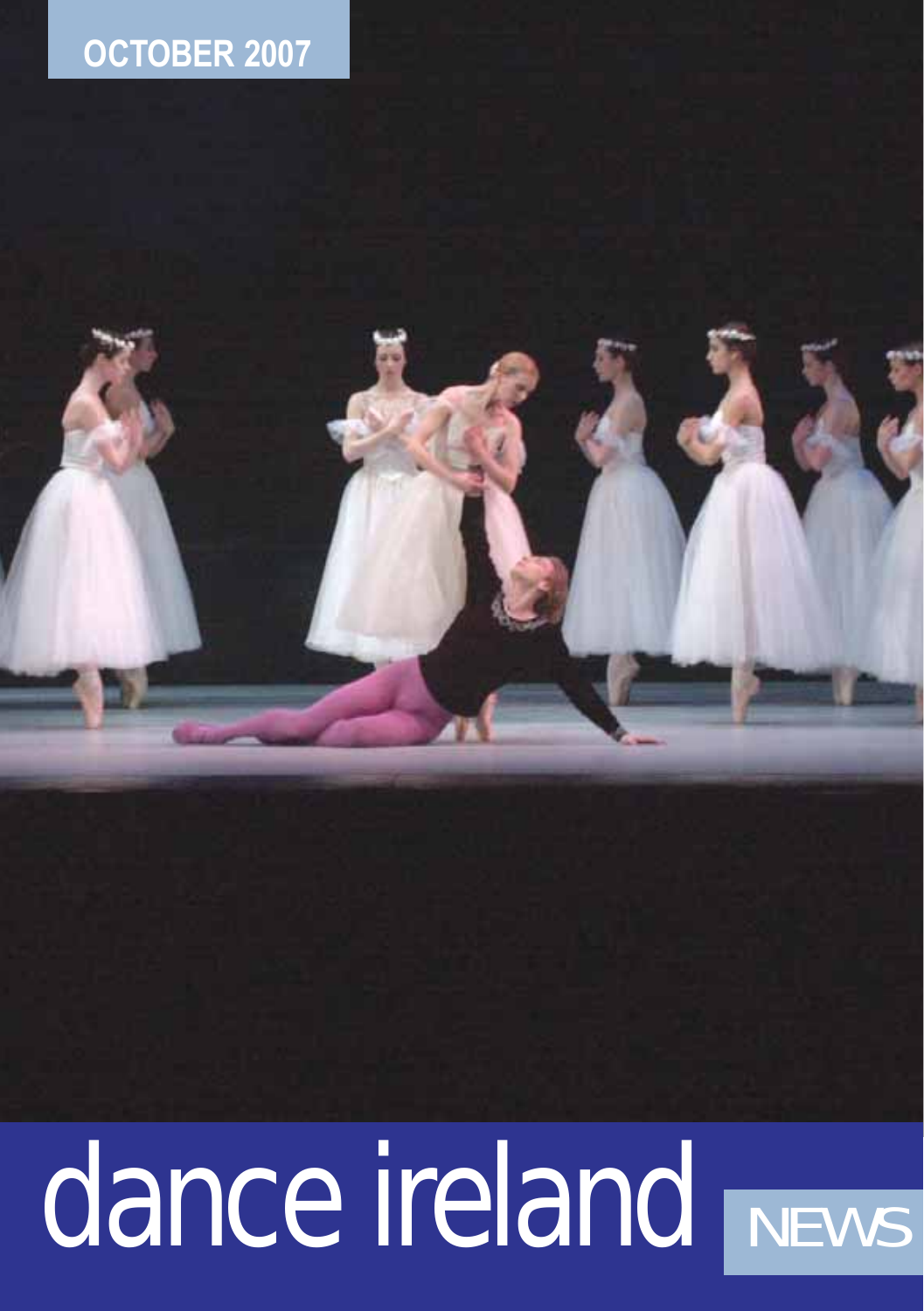# **OCTOBER 2007**

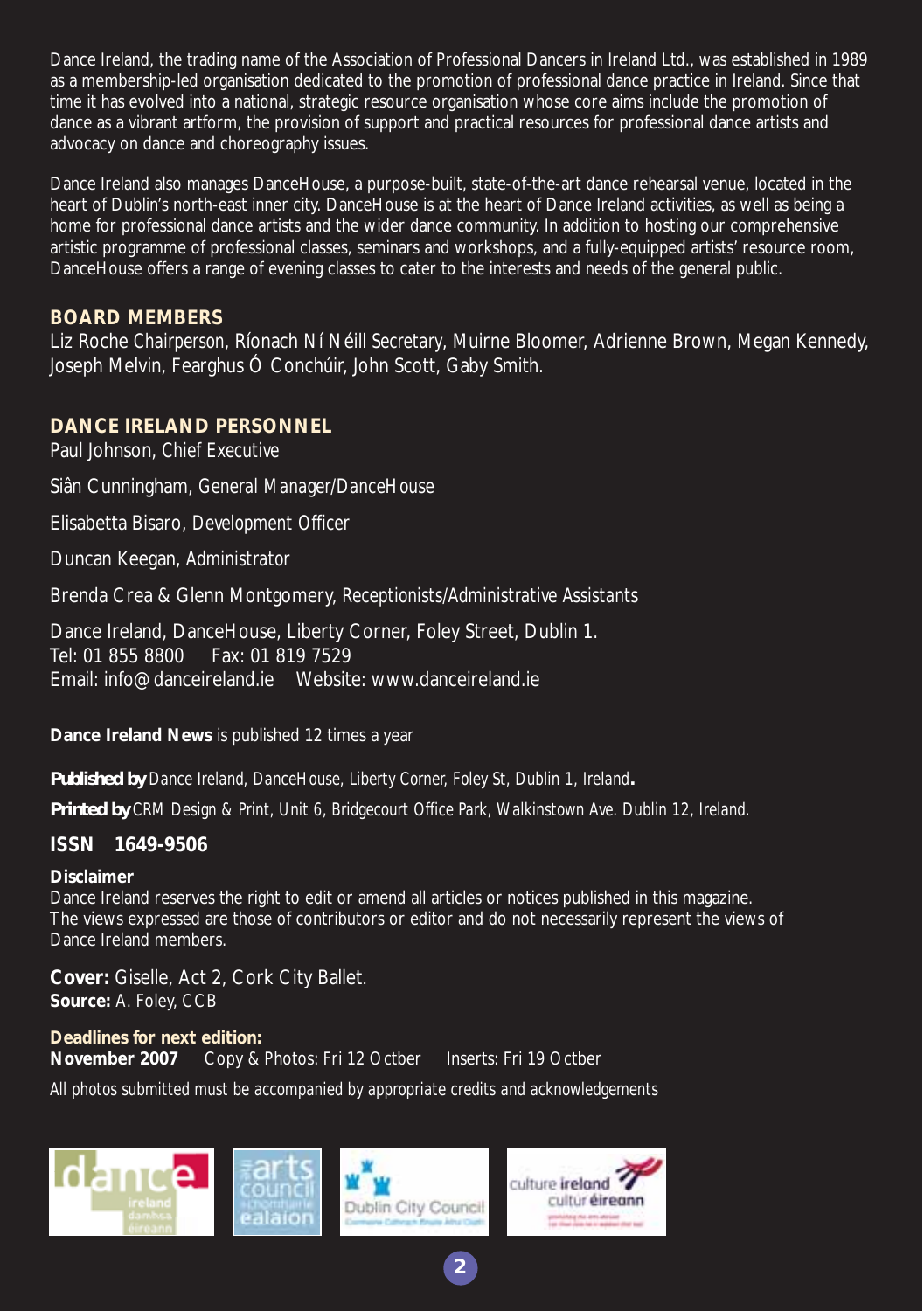Dance Ireland, the trading name of the Association of Professional Dancers in Ireland Ltd., was established in 1989 as a membership-led organisation dedicated to the promotion of professional dance practice in Ireland. Since that time it has evolved into a national, strategic resource organisation whose core aims include the promotion of dance as a vibrant artform, the provision of support and practical resources for professional dance artists and advocacy on dance and choreography issues.

Dance Ireland also manages DanceHouse, a purpose-built, state-of-the-art dance rehearsal venue, located in the heart of Dublin's north-east inner city. DanceHouse is at the heart of Dance Ireland activities, as well as being a home for professional dance artists and the wider dance community. In addition to hosting our comprehensive artistic programme of professional classes, seminars and workshops, and a fully-equipped artists' resource room, DanceHouse offers a range of evening classes to cater to the interests and needs of the general public.

#### **BOARD MEMBERS**

Liz Roche *Chairperson*, Ríonach Ní Néill *Secretary*, Muirne Bloomer, Adrienne Brown, Megan Kennedy, Joseph Melvin, Fearghus Ó Conchúir, John Scott, Gaby Smith.

#### **DANCE IRELAND PERSONNEL**

Paul Johnson, *Chief Executive*

Siân Cunningham, *General Manager/DanceHouse* 

Elisabetta Bisaro, *Development Officer*

Duncan Keegan, *Administrator* 

Brenda Crea & Glenn Montgomery, *Receptionists/Administrative Assistants* 

Dance Ireland, DanceHouse, Liberty Corner, Foley Street, Dublin 1. Tel: 01 855 8800 Fax: 01 819 7529 Email: info@danceireland.ie Website: www.danceireland.ie

**Dance Ireland News** is published 12 times a year

*Published by Dance Ireland, DanceHouse, Liberty Corner, Foley St, Dublin 1, Ireland.*

*Printed by CRM Design & Print, Unit 6, Bridgecourt Office Park, Walkinstown Ave. Dublin 12, Ireland.*

#### **ISSN 1649-9506**

#### **Disclaimer**

Dance Ireland reserves the right to edit or amend all articles or notices published in this magazine. The views expressed are those of contributors or editor and do not necessarily represent the views of Dance Ireland members.

**2**

**Cover:** Giselle, Act 2, Cork City Ballet. **Source:** A. Foley, CCB

**Deadlines for next edition: November 2007** Copy & Photos: Fri 12 Octber Inserts: Fri 19 Octber

*All photos submitted must be accompanied by appropriate credits and acknowledgements*

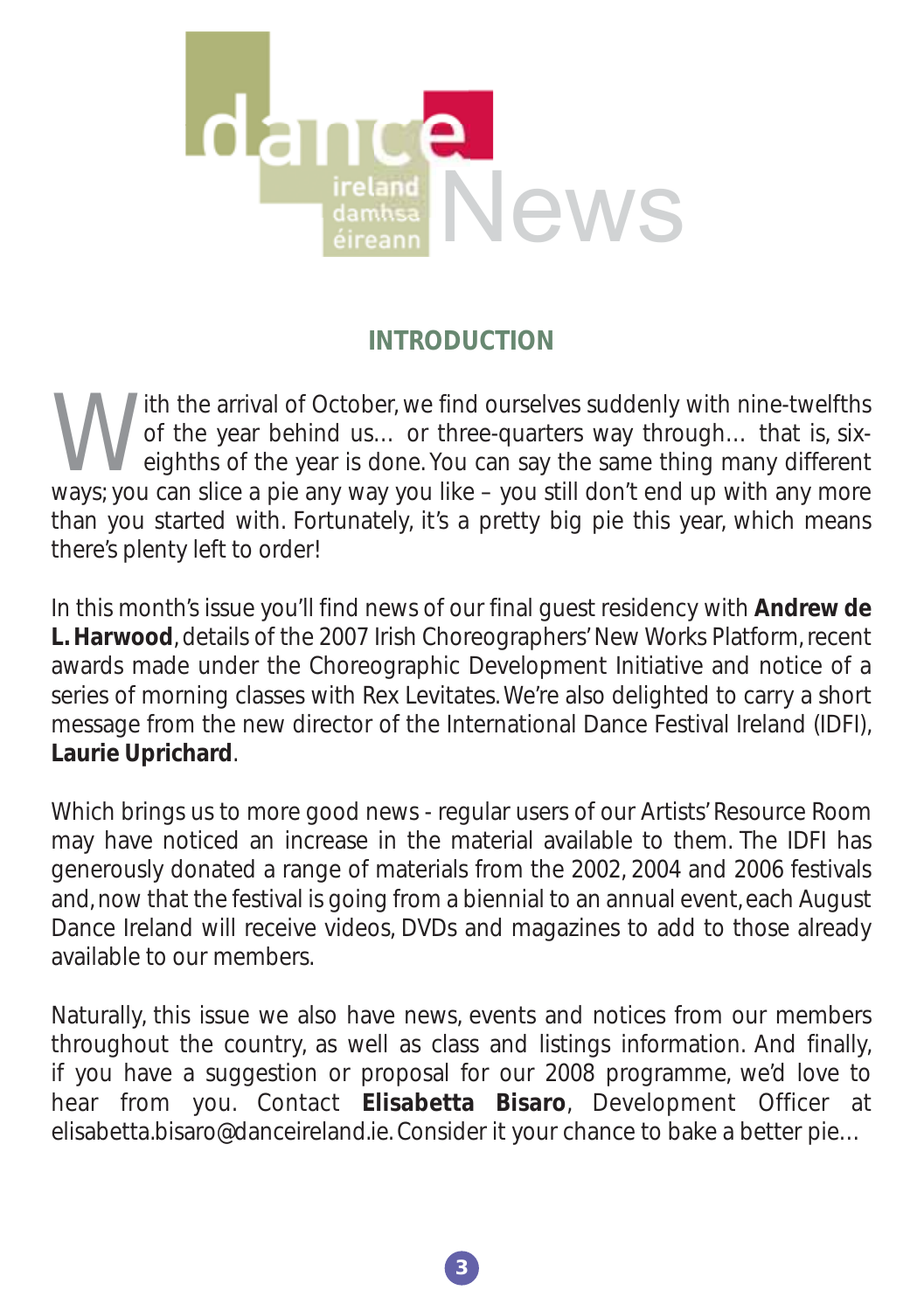

# **INTRODUCTION**

With the arrival of October, we find ourselves suddenly with nine-twelfths<br>of the year behind us... or three-quarters way through... that is, six-<br>eighths of the year is done. You can say the same thing many different<br>ways of the year behind us… or three-quarters way through… that is, sixeighths of the year is done. You can say the same thing many different ways; you can slice a pie any way you like – you still don't end up with any more than you started with. Fortunately, it's a pretty big pie this year, which means there's plenty left to order!

In this month's issue you'll find news of our final guest residency with **Andrew de L. Harwood**, details of the 2007 Irish Choreographers' New Works Platform, recent awards made under the Choreographic Development Initiative and notice of a series of morning classes with Rex Levitates. We're also delighted to carry a short message from the new director of the International Dance Festival Ireland (IDFI), **Laurie Uprichard**.

Which brings us to more good news - regular users of our Artists' Resource Room may have noticed an increase in the material available to them. The IDFI has generously donated a range of materials from the 2002, 2004 and 2006 festivals and, now that the festival is going from a biennial to an annual event, each August Dance Ireland will receive videos, DVDs and magazines to add to those already available to our members.

Naturally, this issue we also have news, events and notices from our members throughout the country, as well as class and listings information. And finally, if you have a suggestion or proposal for our 2008 programme, we'd love to hear from you. Contact **Elisabetta Bisaro**, Development Officer at elisabetta.bisaro@danceireland.ie. Consider it your chance to bake a better pie…

**3**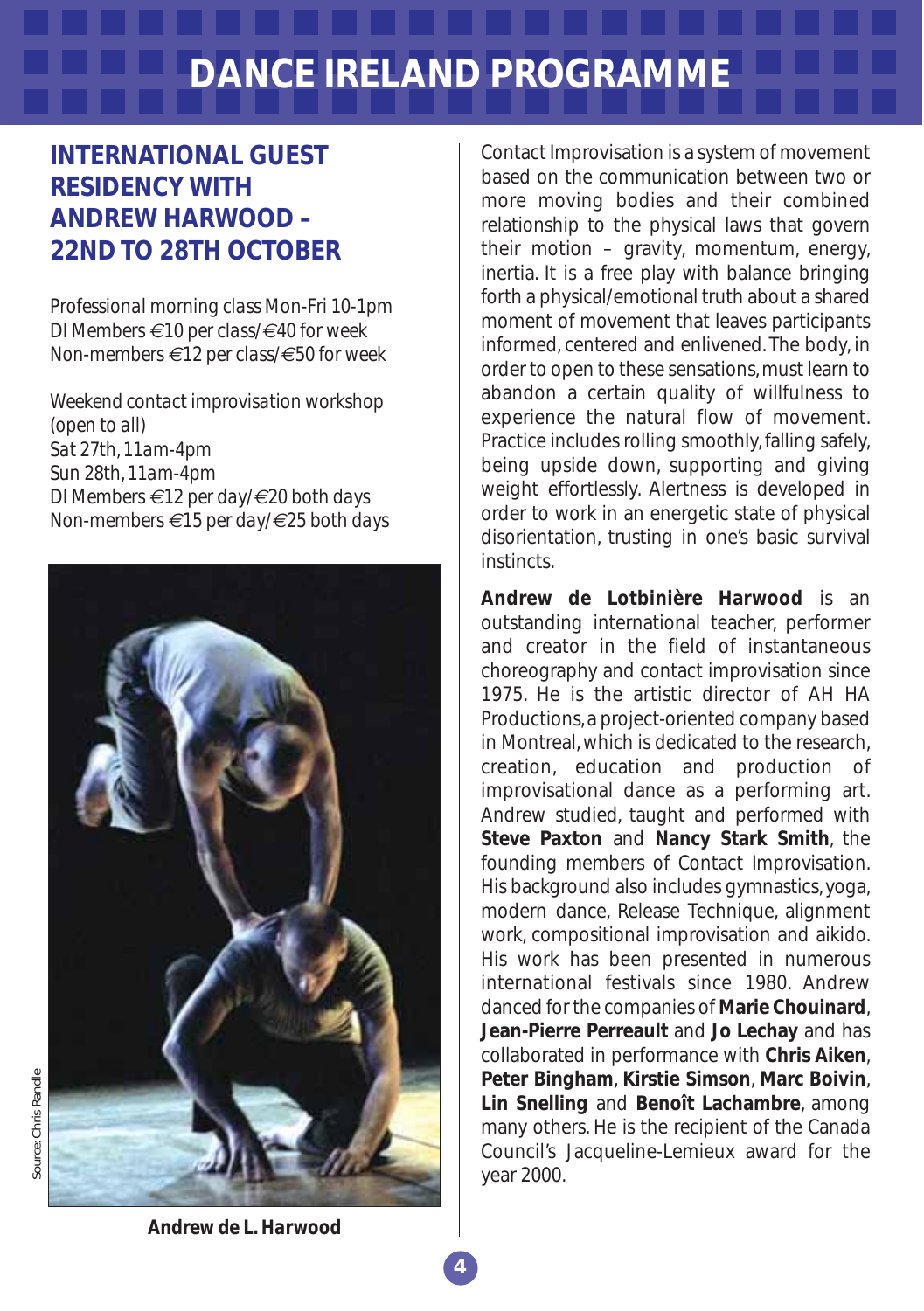# **DANCE IRELAND PROGRAMME**

## **INTERNATIONAL GUEST RESIDENCY WITH ANDREW HARWOOD – 22ND TO 28TH OCTOBER**

*Professional morning class Mon-Fri 10-1pm DI Members €10 per class/€40 for week Non-members €12 per class/€50 for week*

*Weekend contact improvisation workshop (open to all) Sat 27th, 11am-4pm Sun 28th, 11am-4pm DI Members €12 per day/€20 both days Non-members €15 per day/€25 both days*



Contact Improvisation is a system of movement based on the communication between two or more moving bodies and their combined relationship to the physical laws that govern their motion – gravity, momentum, energy, inertia. It is a free play with balance bringing forth a physical/emotional truth about a shared moment of movement that leaves participants informed, centered and enlivened. The body, in order to open to these sensations, must learn to abandon a certain quality of willfulness to experience the natural flow of movement. Practice includes rolling smoothly, falling safely, being upside down, supporting and giving weight effortlessly. Alertness is developed in order to work in an energetic state of physical disorientation, trusting in one's basic survival **instincts** 

**Andrew de Lotbinière Harwood** is an outstanding international teacher, performer and creator in the field of instantaneous choreography and contact improvisation since 1975. He is the artistic director of AH HA Productions, a project-oriented company based in Montreal, which is dedicated to the research, creation, education and production of improvisational dance as a performing art. Andrew studied, taught and performed with **Steve Paxton** and **Nancy Stark Smith**, the founding members of Contact Improvisation. His background also includes gymnastics, yoga, modern dance, Release Technique, alignment work, compositional improvisation and aikido. His work has been presented in numerous international festivals since 1980. Andrew danced for the companies of **Marie Chouinard**, **Jean-Pierre Perreault** and **Jo Lechay** and has collaborated in performance with **Chris Aiken**, **Peter Bingham**, **Kirstie Simson**, **Marc Boivin**, **Lin Snelling** and **Benoît Lachambre**, among many others. He is the recipient of the Canada Council's Jacqueline-Lemieux award for the year 2000.

Source: Chris Randle *Source:* Chris Randle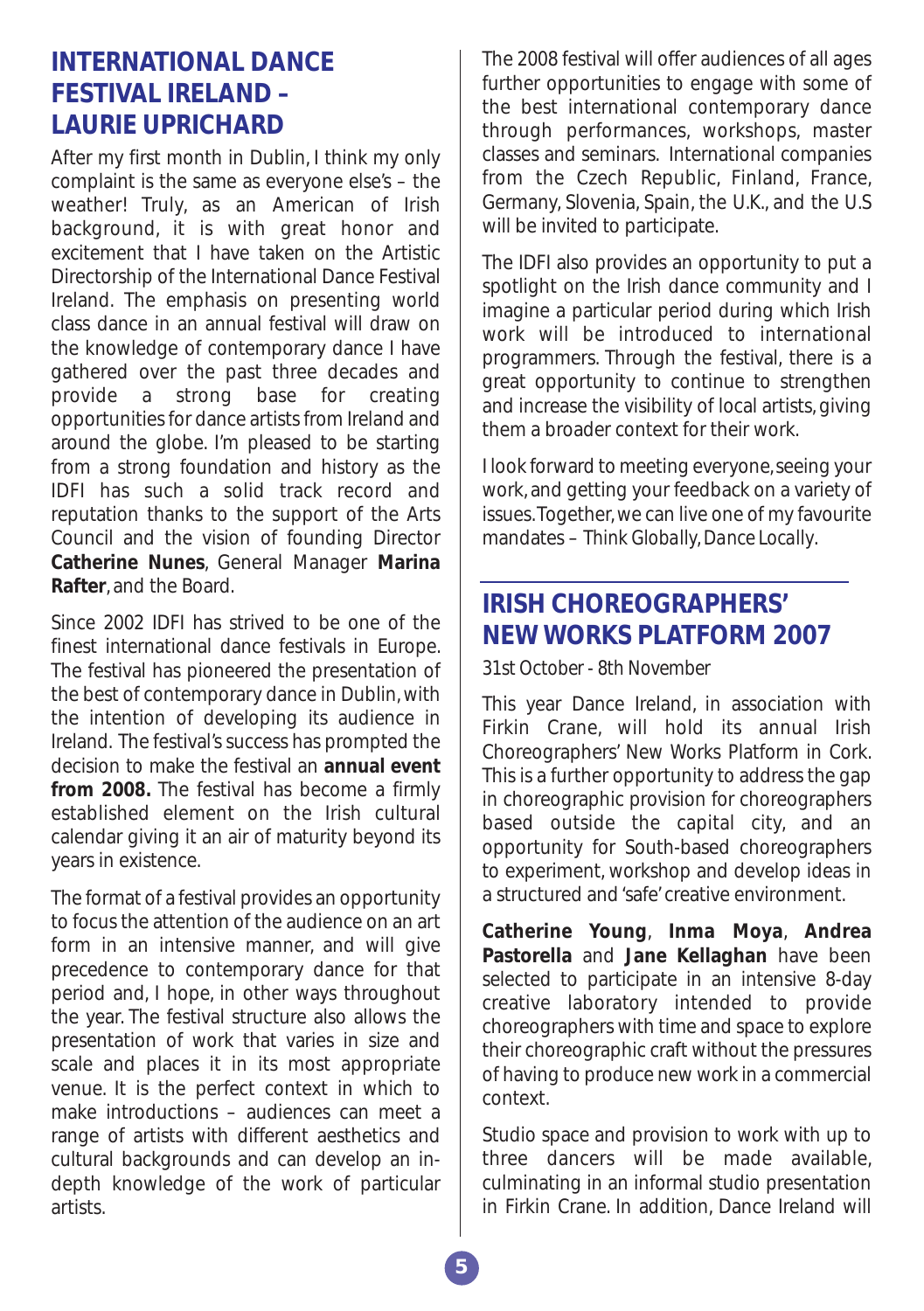#### **INTERNATIONAL DANCE FESTIVAL IRELAND – LAURIE UPRICHARD**

After my first month in Dublin, I think my only complaint is the same as everyone else's – the weather! Truly, as an American of Irish background, it is with great honor and excitement that I have taken on the Artistic Directorship of the International Dance Festival Ireland. The emphasis on presenting world class dance in an annual festival will draw on the knowledge of contemporary dance I have gathered over the past three decades and provide a strong base for creating opportunities for dance artists from Ireland and around the globe. I'm pleased to be starting from a strong foundation and history as the IDFI has such a solid track record and reputation thanks to the support of the Arts Council and the vision of founding Director **Catherine Nunes**, General Manager **Marina Rafter**, and the Board.

Since 2002 IDFI has strived to be one of the finest international dance festivals in Europe. The festival has pioneered the presentation of the best of contemporary dance in Dublin, with the intention of developing its audience in Ireland. The festival's success has prompted the decision to make the festival an **annual event from 2008.** The festival has become a firmly established element on the Irish cultural calendar giving it an air of maturity beyond its years in existence.

The format of a festival provides an opportunity to focus the attention of the audience on an art form in an intensive manner, and will give precedence to contemporary dance for that period and, I hope, in other ways throughout the year. The festival structure also allows the presentation of work that varies in size and scale and places it in its most appropriate venue. It is the perfect context in which to make introductions – audiences can meet a range of artists with different aesthetics and cultural backgrounds and can develop an indepth knowledge of the work of particular artists.

The 2008 festival will offer audiences of all ages further opportunities to engage with some of the best international contemporary dance through performances, workshops, master classes and seminars. International companies from the Czech Republic, Finland, France, Germany, Slovenia, Spain, the U.K., and the U.S will be invited to participate.

The IDFI also provides an opportunity to put a spotlight on the Irish dance community and I imagine a particular period during which Irish work will be introduced to international programmers. Through the festival, there is a great opportunity to continue to strengthen and increase the visibility of local artists, giving them a broader context for their work.

I look forward to meeting everyone, seeing your work, and getting your feedback on a variety of issues.Together, we can live one of my favourite mandates – *Think Globally, Dance Locally*.

#### **IRISH CHOREOGRAPHERS' NEW WORKS PLATFORM 2007**

*31st October - 8th November* 

This year Dance Ireland, in association with Firkin Crane, will hold its annual Irish Choreographers' New Works Platform in Cork. This is a further opportunity to address the gap in choreographic provision for choreographers based outside the capital city, and an opportunity for South-based choreographers to experiment, workshop and develop ideas in a structured and 'safe' creative environment.

**Catherine Young**, **Inma Moya**, **Andrea Pastorella** and **Jane Kellaghan** have been selected to participate in an intensive 8-day creative laboratory intended to provide choreographers with time and space to explore their choreographic craft without the pressures of having to produce new work in a commercial context.

Studio space and provision to work with up to three dancers will be made available, culminating in an informal studio presentation in Firkin Crane. In addition, Dance Ireland will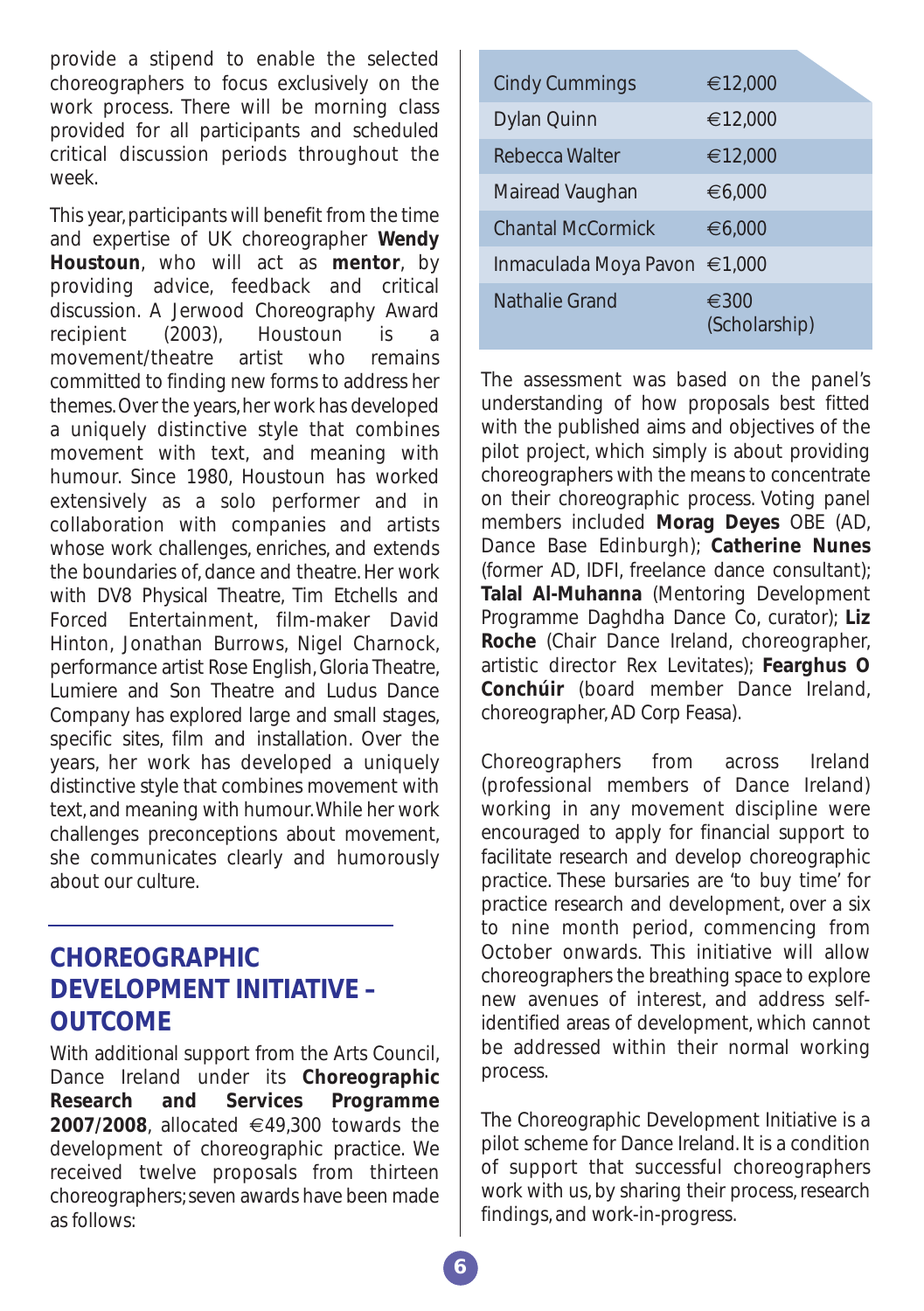provide a stipend to enable the selected choreographers to focus exclusively on the work process. There will be morning class provided for all participants and scheduled critical discussion periods throughout the week.

This year, participants will benefit from the time and expertise of UK choreographer **Wendy Houstoun**, who will act as **mentor**, by providing advice, feedback and critical discussion. A Jerwood Choreography Award recipient (2003), Houstoun is a movement/theatre artist who remains committed to finding new forms to address her themes. Over the years, her work has developed a uniquely distinctive style that combines movement with text, and meaning with humour. Since 1980, Houstoun has worked extensively as a solo performer and in collaboration with companies and artists whose work challenges, enriches, and extends the boundaries of, dance and theatre. Her work with DV8 Physical Theatre, Tim Etchells and Forced Entertainment, film-maker David Hinton, Jonathan Burrows, Nigel Charnock, performance artist Rose English, Gloria Theatre, Lumiere and Son Theatre and Ludus Dance Company has explored large and small stages, specific sites, film and installation. Over the years, her work has developed a uniquely distinctive style that combines movement with text, and meaning with humour.While her work challenges preconceptions about movement, she communicates clearly and humorously about our culture.

#### **CHOREOGRAPHIC DEVELOPMENT INITIATIVE – OUTCOME**

With additional support from the Arts Council, Dance Ireland under its **Choreographic Research and Services Programme 2007/2008**, allocated €49,300 towards the development of choreographic practice. We received twelve proposals from thirteen choreographers; seven awards have been made as follows:

| <b>Cindy Cummings</b>        | €12,000                         |
|------------------------------|---------------------------------|
| Dylan Quinn                  | €12,000                         |
| Rebecca Walter               | €12,000                         |
| Mairead Vaughan              | €6.000                          |
| <b>Chantal McCormick</b>     | €6.000                          |
| Inmaculada Moya Pavon €1,000 |                                 |
| Nathalie Grand               | $\epsilon$ 300<br>(Scholarship) |

The assessment was based on the panel's understanding of how proposals best fitted with the published aims and objectives of the pilot project, which simply is about providing choreographers with the means to concentrate on their choreographic process. Voting panel members included **Morag Deyes** OBE (AD, Dance Base Edinburgh); **Catherine Nunes** (former AD, IDFI, freelance dance consultant); **Talal Al-Muhanna** (Mentoring Development Programme Daghdha Dance Co, curator); **Liz Roche** (Chair Dance Ireland, choreographer, artistic director Rex Levitates); **Fearghus O Conchúir** (board member Dance Ireland, choreographer, AD Corp Feasa).

Choreographers from across Ireland (professional members of Dance Ireland) working in any movement discipline were encouraged to apply for financial support to facilitate research and develop choreographic practice. These bursaries are 'to buy time' for practice research and development, over a six to nine month period, commencing from October onwards. This initiative will allow choreographers the breathing space to explore new avenues of interest, and address selfidentified areas of development, which cannot be addressed within their normal working process.

The Choreographic Development Initiative is a pilot scheme for Dance Ireland. It is a condition of support that successful choreographers work with us, by sharing their process, research findings, and work-in-progress.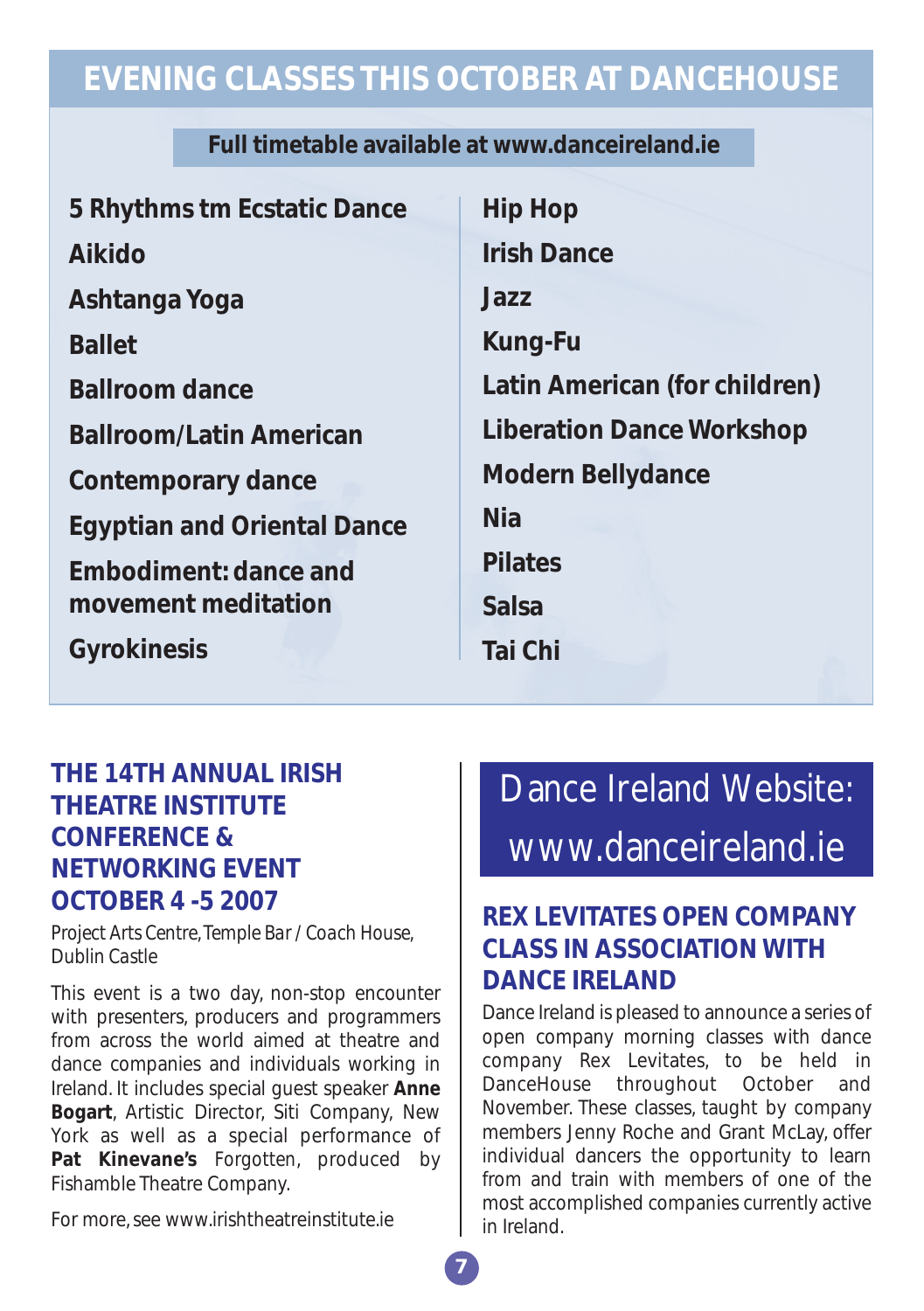# **EVENING CLASSES THIS OCTOBER AT DANCEHOUSE**

#### **Full timetable available at www.danceireland.ie**

| 5 Rhythms tm Ecstatic Dance        | <b>Hip Hop</b>                   |
|------------------------------------|----------------------------------|
| <b>Aikido</b>                      | <b>Irish Dance</b>               |
| Ashtanga Yoga                      | Jazz                             |
| <b>Ballet</b>                      | <b>Kung-Fu</b>                   |
| <b>Ballroom dance</b>              | Latin American (for children)    |
| <b>Ballroom/Latin American</b>     | <b>Liberation Dance Workshop</b> |
| <b>Contemporary dance</b>          | <b>Modern Bellydance</b>         |
| <b>Egyptian and Oriental Dance</b> | <b>Nia</b>                       |
| <b>Embodiment: dance and</b>       | <b>Pilates</b>                   |
| movement meditation                | Salsa                            |
| <b>Gyrokinesis</b>                 | Tai Chi                          |

## **THE 14TH ANNUAL IRISH THEATRE INSTITUTE CONFERENCE & NETWORKING EVENT OCTOBER 4 -5 2007**

*Project Arts Centre, Temple Bar / Coach House, Dublin Castle*

This event is a two day, non-stop encounter with presenters, producers and programmers from across the world aimed at theatre and dance companies and individuals working in Ireland. It includes special guest speaker **Anne Bogart**, Artistic Director, Siti Company, New York as well as a special performance of **Pat Kinevane's** *Forgotten*, produced by Fishamble Theatre Company.

For more, see www.irishtheatreinstitute.ie

# Dance Ireland Website: www.danceireland.ie

## **REX LEVITATES OPEN COMPANY CLASS IN ASSOCIATION WITH DANCE IRELAND**

Dance Ireland is pleased to announce a series of open company morning classes with dance company Rex Levitates, to be held in DanceHouse throughout October and November. These classes, taught by company members Jenny Roche and Grant McLay, offer individual dancers the opportunity to learn from and train with members of one of the most accomplished companies currently active in Ireland.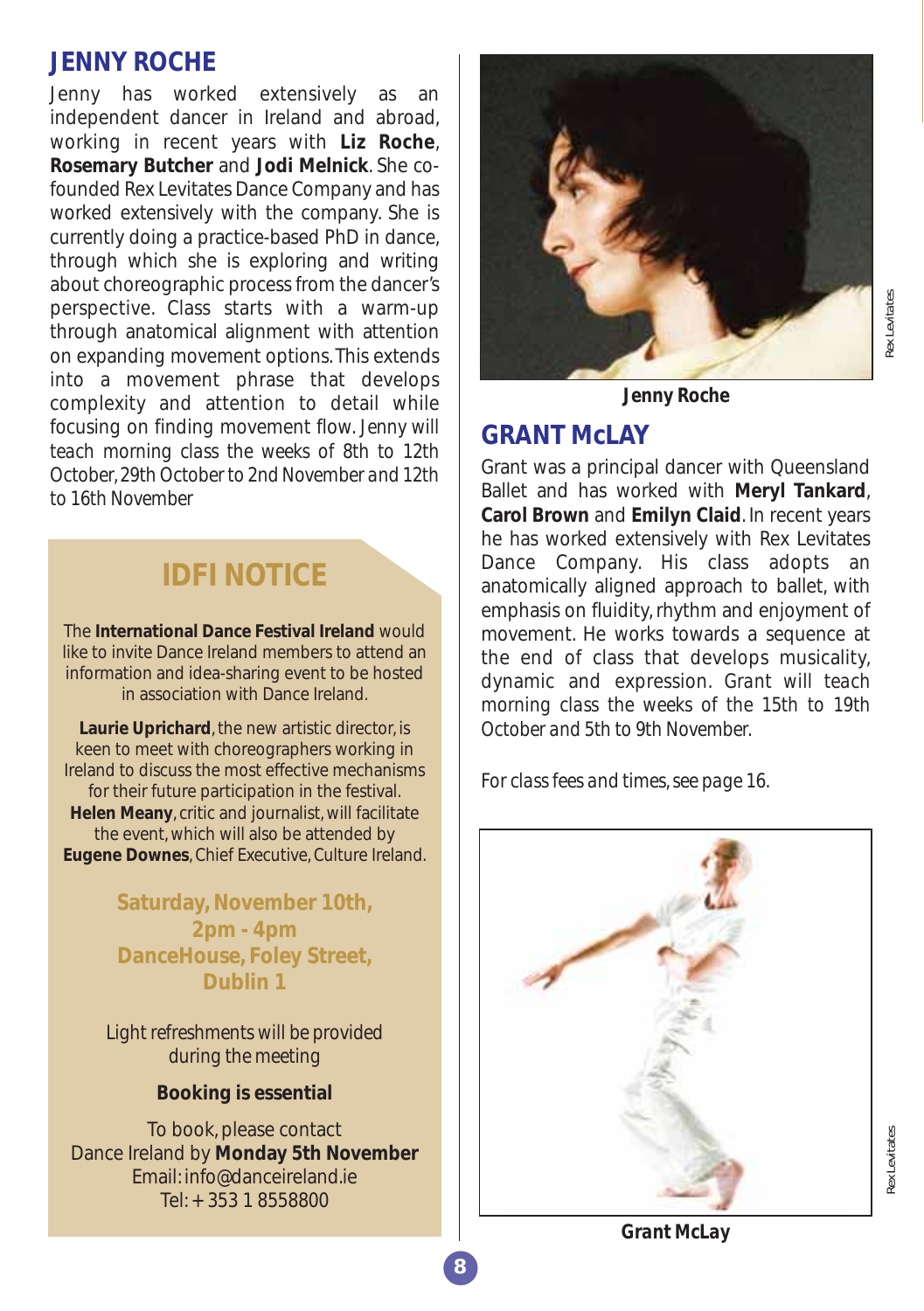#### **JENNY ROCHE**

Jenny has worked extensively as an independent dancer in Ireland and abroad, working in recent years with **Liz Roche**, **Rosemary Butcher** and **Jodi Melnick**. She cofounded Rex Levitates Dance Company and has worked extensively with the company. She is currently doing a practice-based PhD in dance, through which she is exploring and writing about choreographic process from the dancer's perspective. Class starts with a warm-up through anatomical alignment with attention on expanding movement options. This extends into a movement phrase that develops complexity and attention to detail while focusing on finding movement flow. *Jenny will teach morning class the weeks of 8th to 12th October, 29th October to 2nd November and 12th to 16th November*

# **IDFI NOTICE**

The **International Dance Festival Ireland** would like to invite Dance Ireland members to attend an information and idea-sharing event to be hosted in association with Dance Ireland.

**Laurie Uprichard**, the new artistic director, is keen to meet with choreographers working in Ireland to discuss the most effective mechanisms for their future participation in the festival. **Helen Meany**, critic and journalist, will facilitate the event, which will also be attended by **Eugene Downes**, Chief Executive, Culture Ireland.

> **Saturday, November 10th, 2pm - 4pm DanceHouse, Foley Street, Dublin 1**

*Light refreshments will be provided during the meeting*

#### **Booking is essential**

To book, please contact Dance Ireland by **Monday 5th November** Email: info@danceireland.ie Tel: + 353 1 8558800



*Jenny Roche*

#### **GRANT McLAY**

Grant was a principal dancer with Queensland Ballet and has worked with **Meryl Tankard**, **Carol Brown** and **Emilyn Claid**. In recent years he has worked extensively with Rex Levitates Dance Company. His class adopts an anatomically aligned approach to ballet, with emphasis on fluidity, rhythm and enjoyment of movement. He works towards a sequence at the end of class that develops musicality, dynamic and expression. *Grant will teach morning class the weeks of the 15th to 19th October and 5th to 9th November.*

*For class fees and times, see page 16.*



*Grant McLay*

# Rex Levitates *Rex Levitates*

*Rex Levitates*

tex Levitates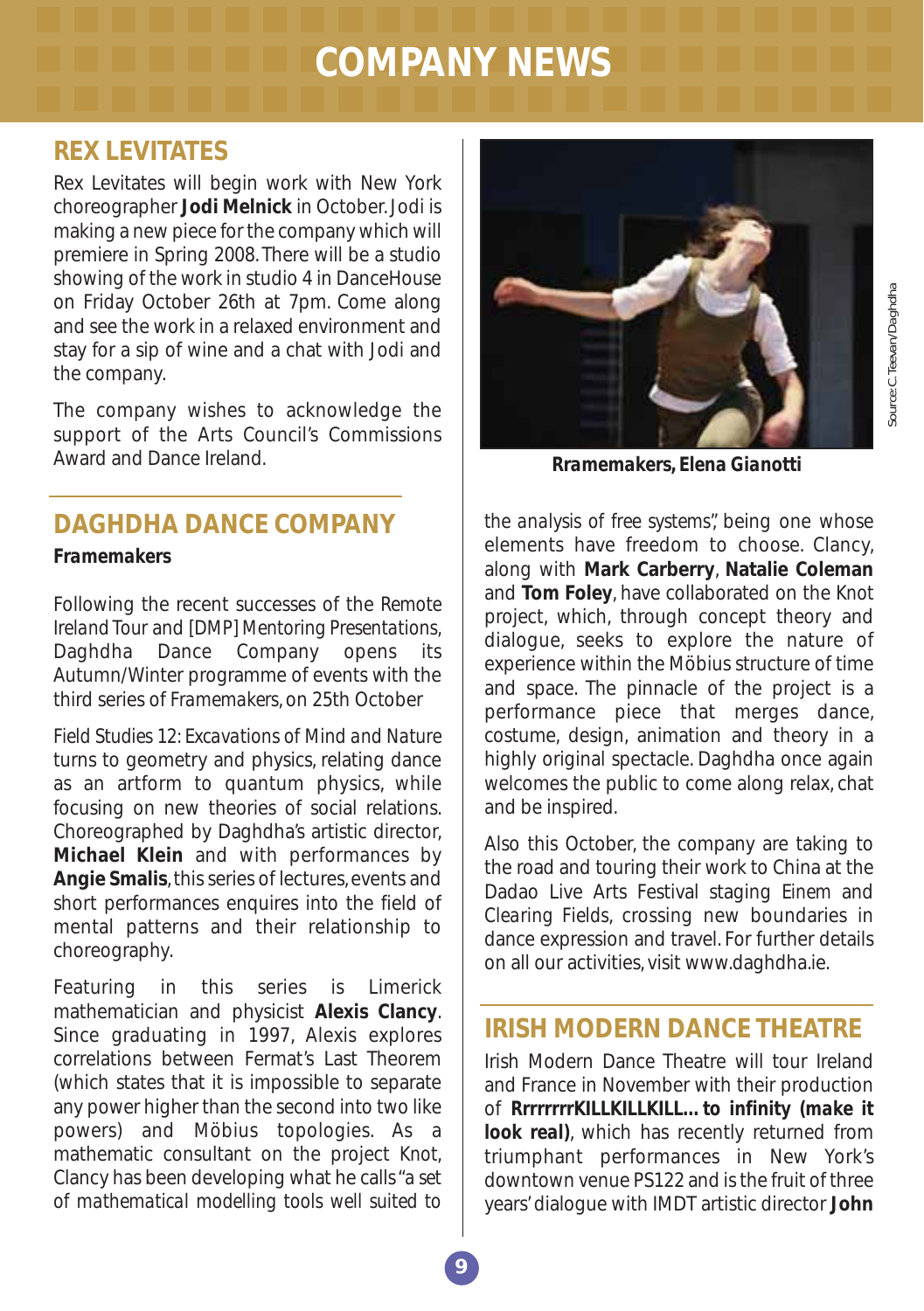# **COMPANY NEWS**

#### **REX LEVITATES**

Rex Levitates will begin work with New York choreographer **Jodi Melnick** in October. Jodi is making a new piece for the company which will premiere in Spring 2008. There will be a studio showing of the work in studio 4 in DanceHouse on Friday October 26th at 7pm. Come along and see the work in a relaxed environment and stay for a sip of wine and a chat with Jodi and the company.

The company wishes to acknowledge the support of the Arts Council's Commissions Award and Dance Ireland.

# **DAGHDHA DANCE COMPANY**

#### *Framemakers*

Following the recent successes of the *Remote Ireland Tour* and *[DMP] Mentoring Presentations*, Daghdha Dance Company opens its Autumn/Winter programme of events with the third series of *Framemakers*, on 25th October

*Field Studies 12: Excavations of Mind and Nature* turns to geometry and physics, relating dance as an artform to quantum physics, while focusing on new theories of social relations. Choreographed by Daghdha's artistic director, **Michael Klein** and with performances by **Angie Smalis**, this series of lectures, events and short performances enquires into the field of mental patterns and their relationship to choreography.

Featuring in this series is Limerick mathematician and physicist **Alexis Clancy**. Since graduating in 1997, Alexis explores correlations between Fermat's Last Theorem (which states that it is impossible to separate any power higher than the second into two like powers) and Möbius topologies. As a mathematic consultant on the project *Knot*, Clancy has been developing what he calls "*a set of mathematical modelling tools well suited to*



*Rramemakers, Elena Gianotti*

*the analysis of free systems*", being one whose elements have freedom to choose. Clancy, along with **Mark Carberry**, **Natalie Coleman** and **Tom Foley**, have collaborated on the *Knot* project, which, through concept theory and dialogue, seeks to explore the nature of experience within the Möbius structure of time and space. The pinnacle of the project is a performance piece that merges dance, costume, design, animation and theory in a highly original spectacle. Daghdha once again welcomes the public to come along relax, chat and be inspired.

Also this October, the company are taking to the road and touring their work to China at the Dadao Live Arts Festival staging *Einem* and *Clearing Fields*, crossing new boundaries in dance expression and travel. For further details on all our activities, visit www.daghdha.ie.

#### **IRISH MODERN DANCE THEATRE**

Irish Modern Dance Theatre will tour Ireland and France in November with their production of *RrrrrrrrKILLKILLKILL…to infinity (make it look real*), which has recently returned from triumphant performances in New York's downtown venue PS122 and is the fruit of three years' dialogue with IMDT artistic director **John**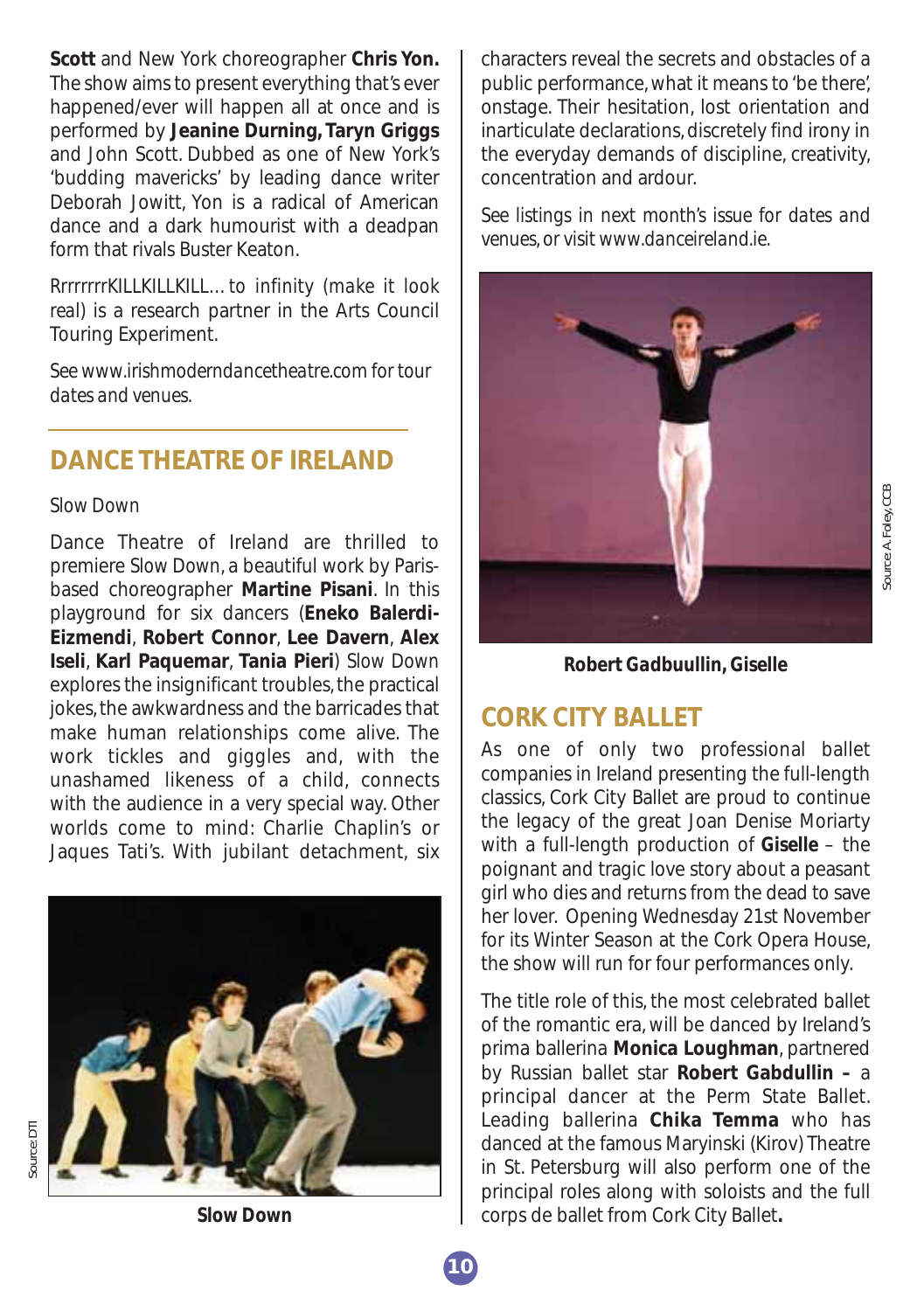**Scott** and New York choreographer **Chris Yon.** The show aims to present everything that's ever happened/ever will happen all at once and is performed by **Jeanine Durning, Taryn Griggs** and John Scott. Dubbed as one of New York's 'budding mavericks' by leading dance writer Deborah Jowitt, Yon is a radical of American dance and a dark humourist with a deadpan form that rivals Buster Keaton.

*RrrrrrrrKILLKILLKILL…to infinity (make it look real)* is a research partner in the Arts Council Touring Experiment.

*See www.irishmoderndancetheatre.com for tour dates and venues.*

#### **DANCE THEATRE OF IRELAND**

#### *Slow Down*

Dance Theatre of Ireland are thrilled to premiere *Slow Down*, a beautiful work by Parisbased choreographer **Martine Pisani**. In this playground for six dancers (**Eneko Balerdi-Eizmendi**, **Robert Connor**, **Lee Davern**, **Alex Iseli**, **Karl Paquemar**, **Tania Pieri**) *Slow Down* explores the insignificant troubles, the practical jokes, the awkwardness and the barricades that make human relationships come alive. The work tickles and giggles and, with the unashamed likeness of a child, connects with the audience in a very special way. Other worlds come to mind: Charlie Chaplin's or Jaques Tati's. With jubilant detachment, six



characters reveal the secrets and obstacles of a public performance, what it means to 'be there', onstage. Their hesitation, lost orientation and inarticulate declarations, discretely find irony in the everyday demands of discipline, creativity, concentration and ardour.

*See listings in next month's issue for dates and venues, or visit www.danceireland.ie.*



*Robert Gadbuullin, Giselle*

#### **CORK CITY BALLET**

As one of only two professional ballet companies in Ireland presenting the full-length classics, Cork City Ballet are proud to continue the legacy of the great Joan Denise Moriarty with a full-length production of *Giselle* – the poignant and tragic love story about a peasant girl who dies and returns from the dead to save her lover. Opening Wednesday 21st November for its Winter Season at the Cork Opera House, the show will run for four performances only.

The title role of this, the most celebrated ballet of the romantic era, will be danced by Ireland's prima ballerina **Monica Loughman**, partnered by Russian ballet star **Robert Gabdullin –** a principal dancer at the Perm State Ballet. Leading ballerina **Chika Temma** who has danced at the famous Maryinski (Kirov) Theatre in St. Petersburg will also perform one of the principal roles along with soloists and the full corps de ballet from Cork City Ballet**.**

*Slow Down*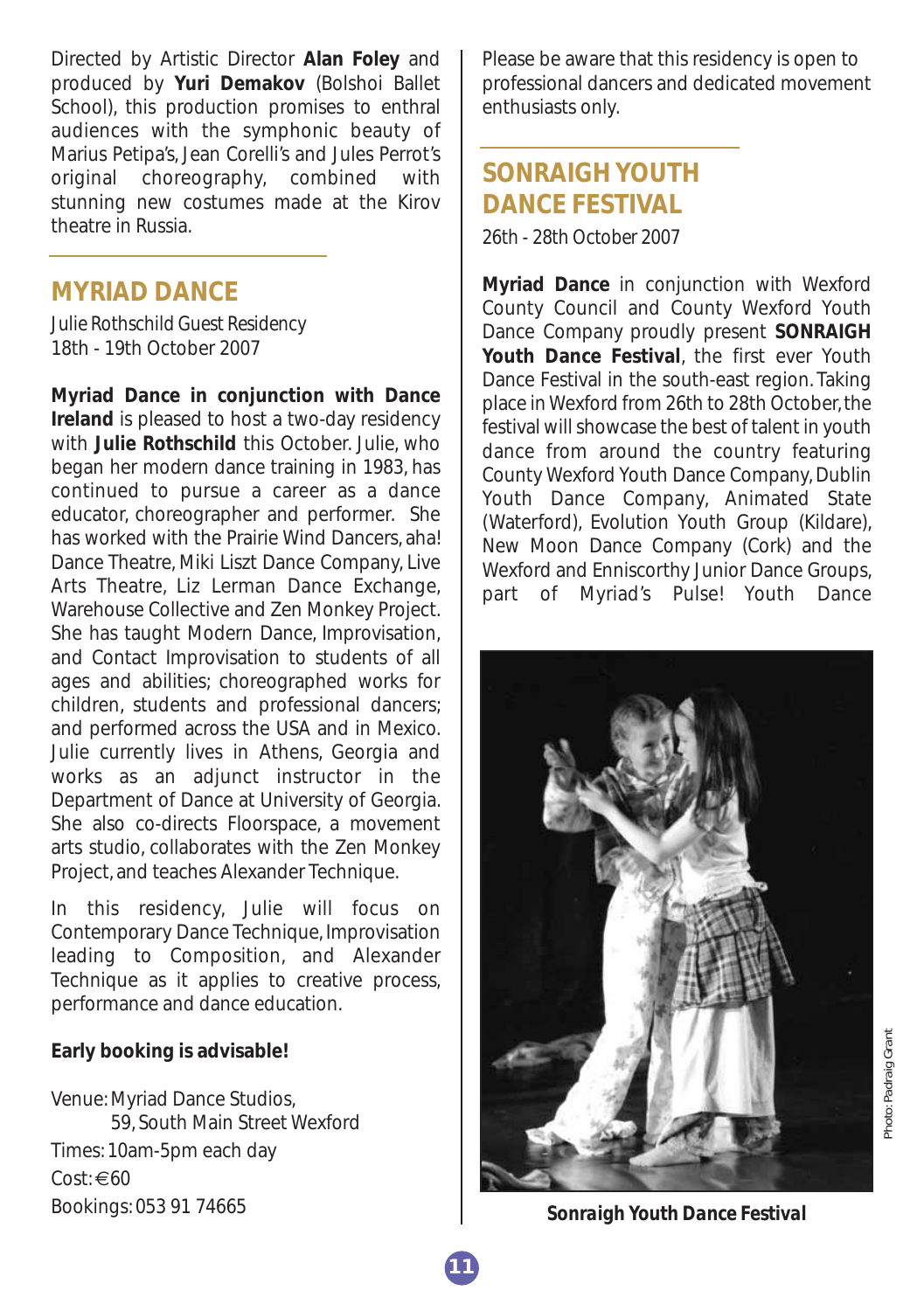Directed by Artistic Director **Alan Foley** and produced by **Yuri Demakov** (Bolshoi Ballet School), this production promises to enthral audiences with the symphonic beauty of Marius Petipa's, Jean Corelli's and Jules Perrot's original choreography, combined with stunning new costumes made at the Kirov theatre in Russia.

#### **MYRIAD DANCE**

*Julie Rothschild Guest Residency* 18th - 19th October 2007

**Myriad Dance in conjunction with Dance Ireland** is pleased to host a two-day residency with **Julie Rothschild** this October. Julie, who began her modern dance training in 1983, has continued to pursue a career as a dance educator, choreographer and performer. She has worked with the Prairie Wind Dancers, aha! Dance Theatre, Miki Liszt Dance Company, Live Arts Theatre, Liz Lerman Dance Exchange, Warehouse Collective and Zen Monkey Project. She has taught Modern Dance, Improvisation, and Contact Improvisation to students of all ages and abilities; choreographed works for children, students and professional dancers; and performed across the USA and in Mexico. Julie currently lives in Athens, Georgia and works as an adjunct instructor in the Department of Dance at University of Georgia. She also co-directs Floorspace, a movement arts studio, collaborates with the Zen Monkey Project, and teaches Alexander Technique.

In this residency, Julie will focus on Contemporary Dance Technique, Improvisation leading to Composition, and Alexander Technique as it applies to creative process, performance and dance education.

#### **Early booking is advisable!**

Venue: Myriad Dance Studios, 59, South Main Street Wexford Times: 10am-5pm each day  $Cost: \in 60$ Bookings: 053 91 74665

Please be aware that this residency is open to professional dancers and dedicated movement enthusiasts only.

# **SONRAIGH YOUTH DANCE FESTIVAL**

*26th - 28th October 2007*

**Myriad Dance** in conjunction with Wexford County Council and County Wexford Youth Dance Company proudly present **SONRAIGH Youth Dance Festival**, the first ever Youth Dance Festival in the south-east region. Taking place in Wexford from 26th to 28th October, the festival will showcase the best of talent in youth dance from around the country featuring County Wexford Youth Dance Company, Dublin Youth Dance Company, Animated State (Waterford), Evolution Youth Group (Kildare), New Moon Dance Company (Cork) and the Wexford and Enniscorthy Junior Dance Groups, part of Myriad's Pulse! Youth Dance



*Sonraigh Youth Dance Festival*

**11**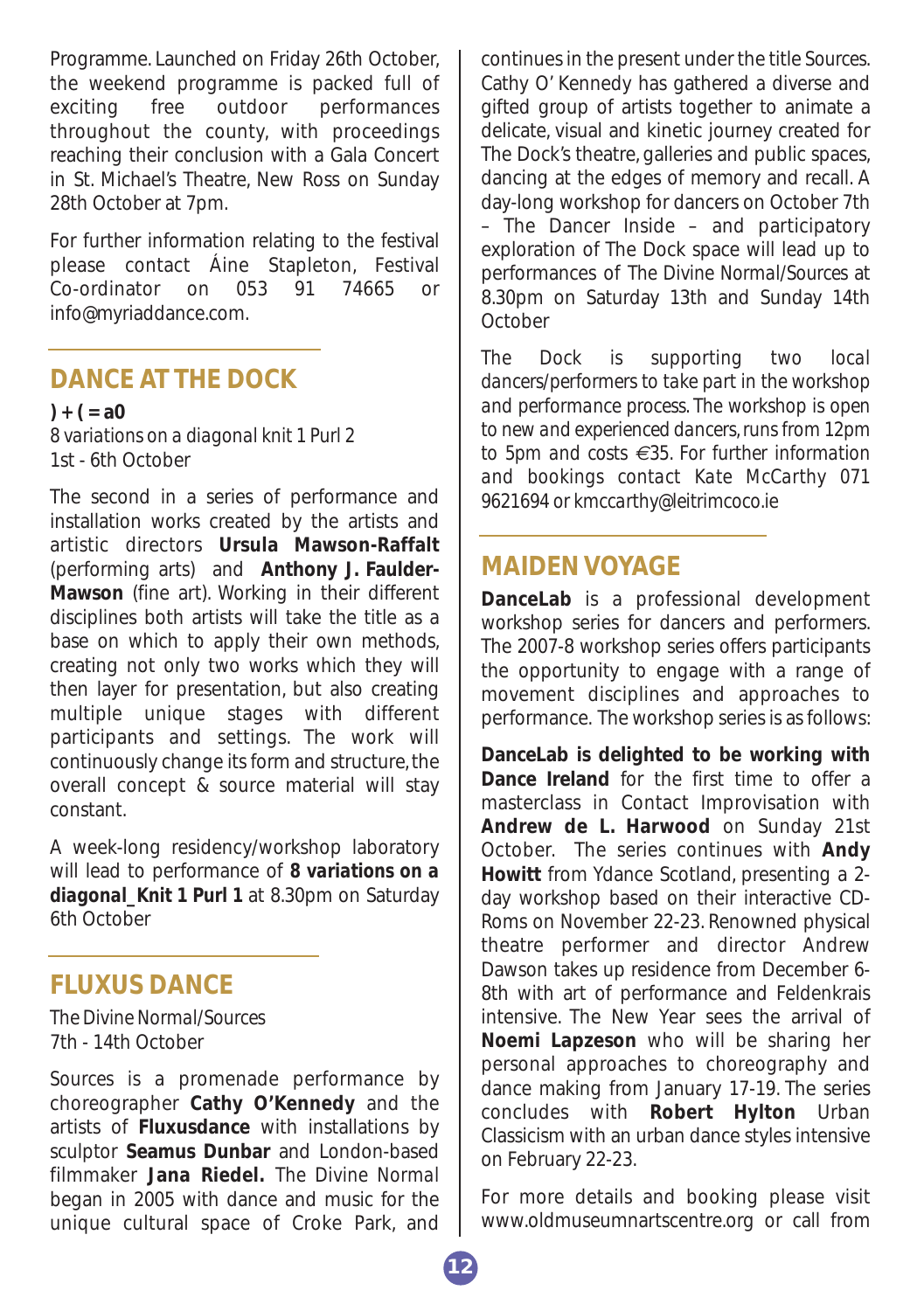Programme. Launched on Friday 26th October, the weekend programme is packed full of exciting free outdoor performances throughout the county, with proceedings reaching their conclusion with a Gala Concert in St. Michael's Theatre, New Ross on Sunday 28th October at 7pm.

For further information relating to the festival please contact Áine Stapleton, Festival Co-ordinator on 053 91 74665 or info@myriaddance.com.

#### **DANCE AT THE DOCK**

**) + ( = a0** *8 variations on a diagonal knit 1 Purl 2* 1st - 6th October

The second in a series of performance and installation works created by the artists and artistic directors **Ursula Mawson-Raffalt** (performing arts) and **Anthony J. Faulder-Mawson** (fine art). Working in their different disciplines both artists will take the title as a base on which to apply their own methods, creating not only two works which they will then layer for presentation, but also creating multiple unique stages with different participants and settings. The work will continuously change its form and structure, the overall concept & source material will stay constant.

A week-long residency/workshop laboratory will lead to performance of *8 variations on a diagonal\_Knit 1 Purl 1* at 8.30pm on Saturday 6th October

#### **FLUXUS DANCE**

*The Divine Normal/Sources* 7th - 14th October

*Sources* is a promenade performance by choreographer **Cathy O'Kennedy** and the artists of **Fluxusdance** with installations by sculptor **Seamus Dunbar** and London-based filmmaker **Jana Riedel.** *The Divine Normal* began in 2005 with dance and music for the unique cultural space of Croke Park, and

continues in the present under the title *Sources*. Cathy O' Kennedy has gathered a diverse and gifted group of artists together to animate a delicate, visual and kinetic journey created for The Dock's theatre, galleries and public spaces, dancing at the edges of memory and recall. A day-long workshop for dancers on October 7th – The Dancer Inside – and participatory exploration of The Dock space will lead up to performances of *The Divine Normal/Sources* at 8.30pm on Saturday 13th and Sunday 14th **October** 

*The Dock is supporting two local dancers/performers to take part in the workshop and performance process. The workshop is open to new and experienced dancers, runs from 12pm to 5pm and costs €35. For further information and bookings contact Kate McCarthy 071 9621694 or kmccarthy@leitrimcoco.ie*

#### **MAIDEN VOYAGE**

**DanceLab** is a professional development workshop series for dancers and performers. The 2007-8 workshop series offers participants the opportunity to engage with a range of movement disciplines and approaches to performance. The workshop series is as follows:

**DanceLab is delighted to be working with Dance Ireland** for the first time to offer a masterclass in Contact Improvisation with **Andrew de L. Harwood** on Sunday 21st October. The series continues with **Andy Howitt** from Ydance Scotland, presenting a 2 day workshop based on their interactive CD-Roms on November 22-23. Renowned physical theatre performer and director Andrew Dawson takes up residence from December 6- 8th with art of performance and Feldenkrais intensive. The New Year sees the arrival of **Noemi Lapzeson** who will be sharing her personal approaches to choreography and dance making from January 17-19. The series concludes with **Robert Hylton** Urban Classicism with an urban dance styles intensive on February 22-23.

For more details and booking please visit www.oldmuseumnartscentre.org or call from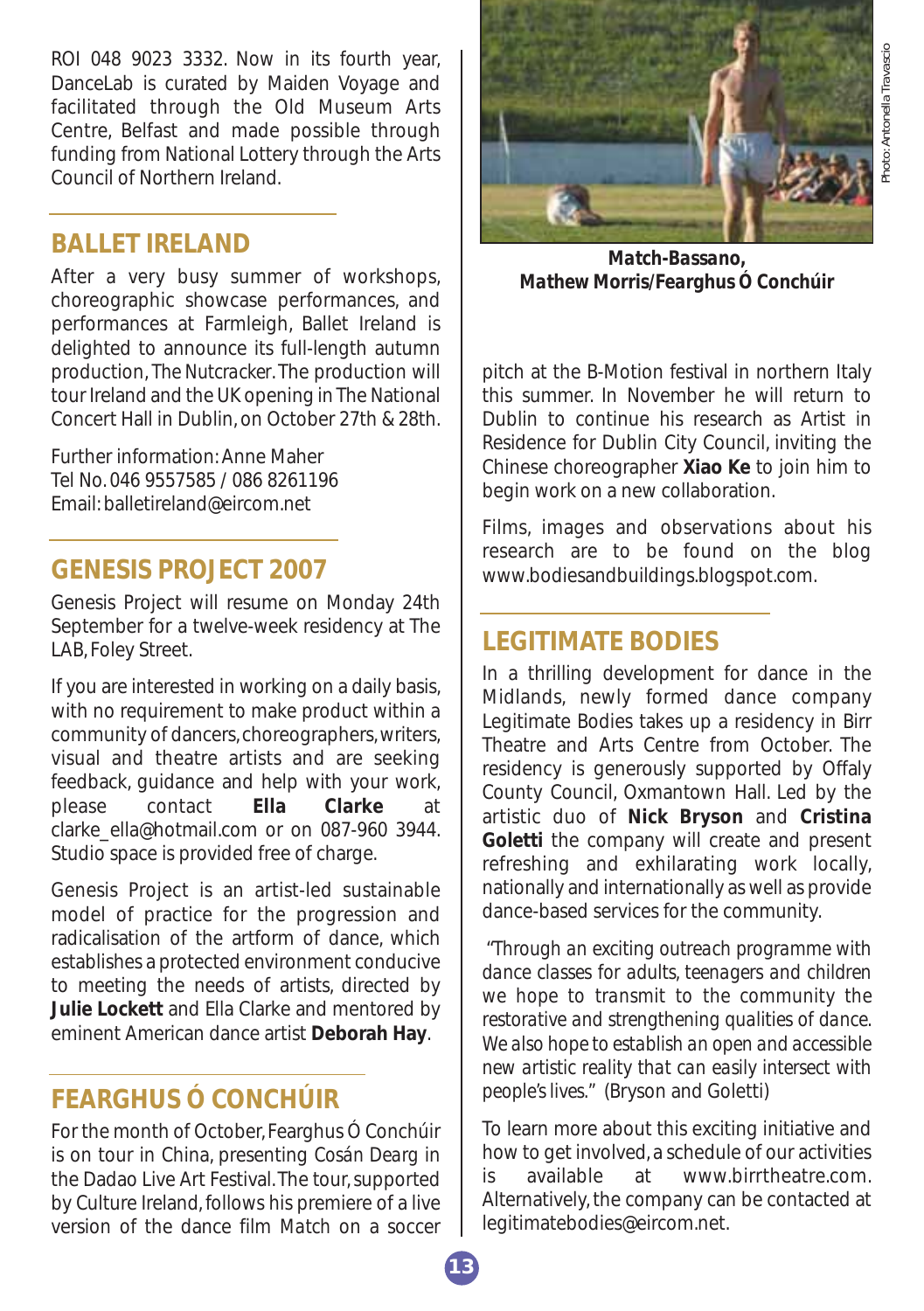hoto: Antonella Travascio *Photo: Antonella Travascio*

ROI 048 9023 3332. Now in its fourth year, DanceLab is curated by Maiden Voyage and facilitated through the Old Museum Arts Centre, Belfast and made possible through funding from National Lottery through the Arts Council of Northern Ireland.

#### **BALLET IRELAND**

After a very busy summer of workshops, choreographic showcase performances, and performances at Farmleigh, Ballet Ireland is delighted to announce its full-length autumn production, *The Nutcracker*. The production will tour Ireland and the UK opening in The National Concert Hall in Dublin, on October 27th & 28th.

Further information: Anne Maher Tel No. 046 9557585 / 086 8261196 Email: balletireland@eircom.net

## **GENESIS PROJECT 2007**

Genesis Project will resume on Monday 24th September for a twelve-week residency at The LAB, Foley Street.

If you are interested in working on a daily basis, with no requirement to make product within a community of dancers, choreographers, writers, visual and theatre artists and are seeking feedback, guidance and help with your work, please contact **Ella Clarke** at clarke\_ella@hotmail.com or on 087-960 3944. Studio space is provided free of charge.

Genesis Project is an artist-led sustainable model of practice for the progression and radicalisation of the artform of dance, which establishes a protected environment conducive to meeting the needs of artists, directed by **Julie Lockett** and Ella Clarke and mentored by eminent American dance artist **Deborah Hay**.

# **FEARGHUS Ó CONCHÚIR**

For the month of October, Fearghus Ó Conchúir is on tour in China, presenting *Cosán Dearg* in the Dadao Live Art Festival. The tour, supported by Culture Ireland, follows his premiere of a live version of the dance film *Match* on a soccer



*Match-Bassano, Mathew Morris/Fearghus Ó Conchúir*

pitch at the B-Motion festival in northern Italy this summer. In November he will return to Dublin to continue his research as Artist in Residence for Dublin City Council, inviting the Chinese choreographer **Xiao Ke** to join him to begin work on a new collaboration.

Films, images and observations about his research are to be found on the blog www.bodiesandbuildings.blogspot.com.

## **LEGITIMATE BODIES**

In a thrilling development for dance in the Midlands, newly formed dance company Legitimate Bodies takes up a residency in Birr Theatre and Arts Centre from October. The residency is generously supported by Offaly County Council, Oxmantown Hall. Led by the artistic duo of **Nick Bryson** and **Cristina Goletti** the company will create and present refreshing and exhilarating work locally, nationally and internationally as well as provide dance-based services for the community.

"*Through an exciting outreach programme with dance classes for adults, teenagers and children we hope to transmit to the community the restorative and strengthening qualities of dance. We also hope to establish an open and accessible new artistic reality that can easily intersect with people's lives."* (Bryson and Goletti)

To learn more about this exciting initiative and how to get involved, a schedule of our activities is available at www.birrtheatre.com. Alternatively, the company can be contacted at legitimatebodies@eircom.net.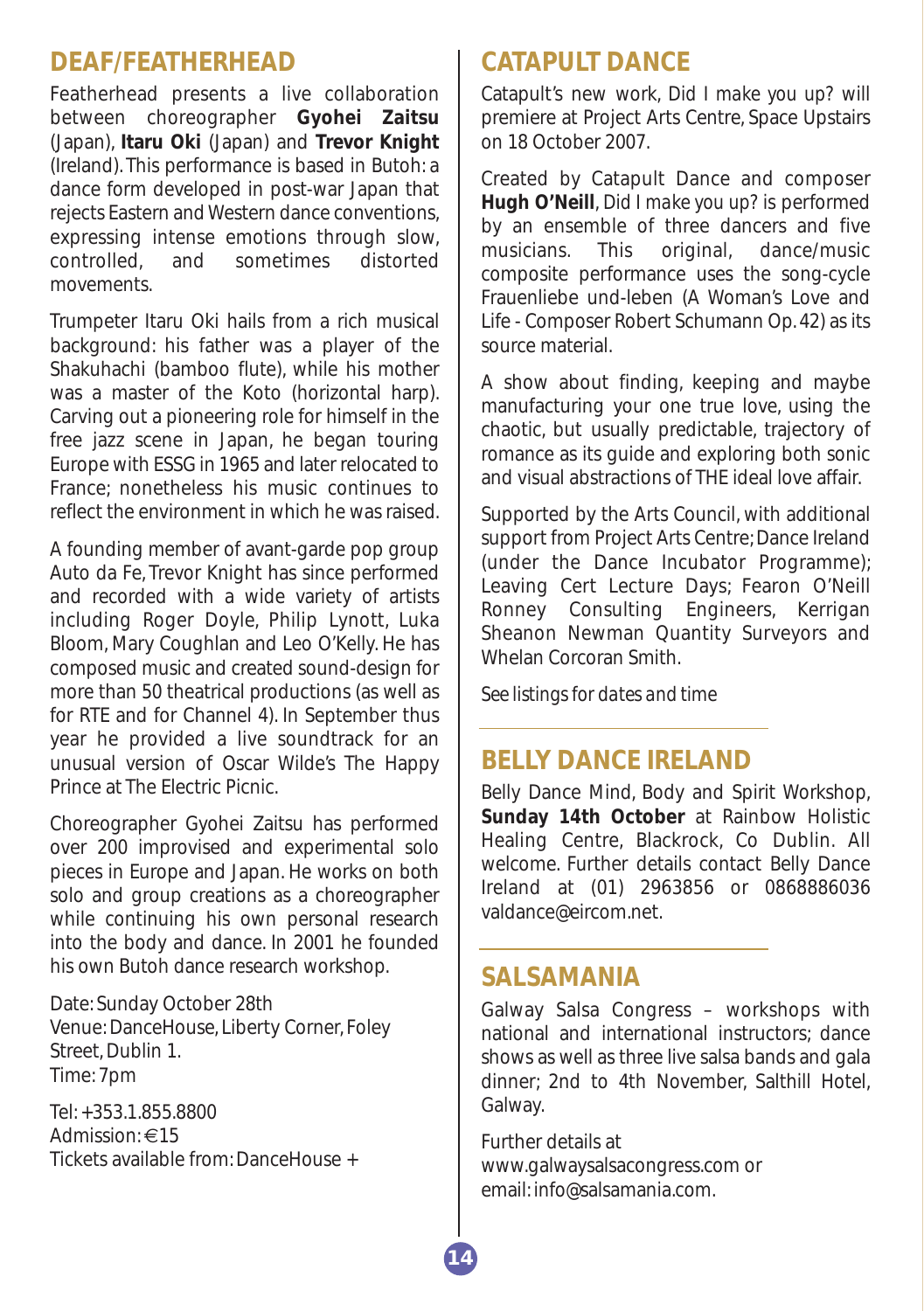#### **DEAF/FEATHERHEAD**

Featherhead presents a live collaboration between choreographer **Gyohei Zaitsu** (Japan), **Itaru Oki** (Japan) and **Trevor Knight** (Ireland). This performance is based in Butoh: a dance form developed in post-war Japan that rejects Eastern and Western dance conventions, expressing intense emotions through slow, controlled, and sometimes distorted movements.

Trumpeter Itaru Oki hails from a rich musical background: his father was a player of the Shakuhachi (bamboo flute), while his mother was a master of the Koto (horizontal harp). Carving out a pioneering role for himself in the free jazz scene in Japan, he began touring Europe with ESSG in 1965 and later relocated to France; nonetheless his music continues to reflect the environment in which he was raised.

A founding member of avant-garde pop group Auto da Fe, Trevor Knight has since performed and recorded with a wide variety of artists including Roger Doyle, Philip Lynott, Luka Bloom, Mary Coughlan and Leo O'Kelly. He has composed music and created sound-design for more than 50 theatrical productions (as well as for RTE and for Channel 4). In September thus year he provided a live soundtrack for an unusual version of Oscar Wilde's The Happy Prince at The Electric Picnic.

Choreographer Gyohei Zaitsu has performed over 200 improvised and experimental solo pieces in Europe and Japan. He works on both solo and group creations as a choreographer while continuing his own personal research into the body and dance. In 2001 he founded his own Butoh dance research workshop.

Date: Sunday October 28th Venue: DanceHouse, Liberty Corner, Foley Street, Dublin 1. Time: 7pm

Tel: +353.1.855.8800 Admission: €15 Tickets available from: DanceHouse +

# **CATAPULT DANCE**

Catapult's new work, *Did I make you up?* will premiere at Project Arts Centre, Space Upstairs on 18 October 2007.

Created by Catapult Dance and composer **Hugh O'Neill**, *Did I make you up?* is performed by an ensemble of three dancers and five musicians. This original, dance/music composite performance uses the song-cycle Frauenliebe und-leben (A Woman's Love and Life - Composer Robert Schumann Op. 42) as its source material.

A show about finding, keeping and maybe manufacturing your one true love, using the chaotic, but usually predictable, trajectory of romance as its guide and exploring both sonic and visual abstractions of THE ideal love affair.

Supported by the Arts Council, with additional support from Project Arts Centre; Dance Ireland (under the Dance Incubator Programme); Leaving Cert Lecture Days; Fearon O'Neill Ronney Consulting Engineers, Kerrigan Sheanon Newman Quantity Surveyors and Whelan Corcoran Smith.

*See listings for dates and time*

#### **BELLY DANCE IRELAND**

Belly Dance Mind, Body and Spirit Workshop, **Sunday 14th October** at Rainbow Holistic Healing Centre, Blackrock, Co Dublin. All welcome. Further details contact Belly Dance Ireland at (01) 2963856 or 0868886036 valdance@eircom.net.

#### **SALSAMANIA**

Galway Salsa Congress – workshops with national and international instructors; dance shows as well as three live salsa bands and gala dinner; 2nd to 4th November, Salthill Hotel, Galway.

Further details at www.galwaysalsacongress.com or email: info@salsamania.com.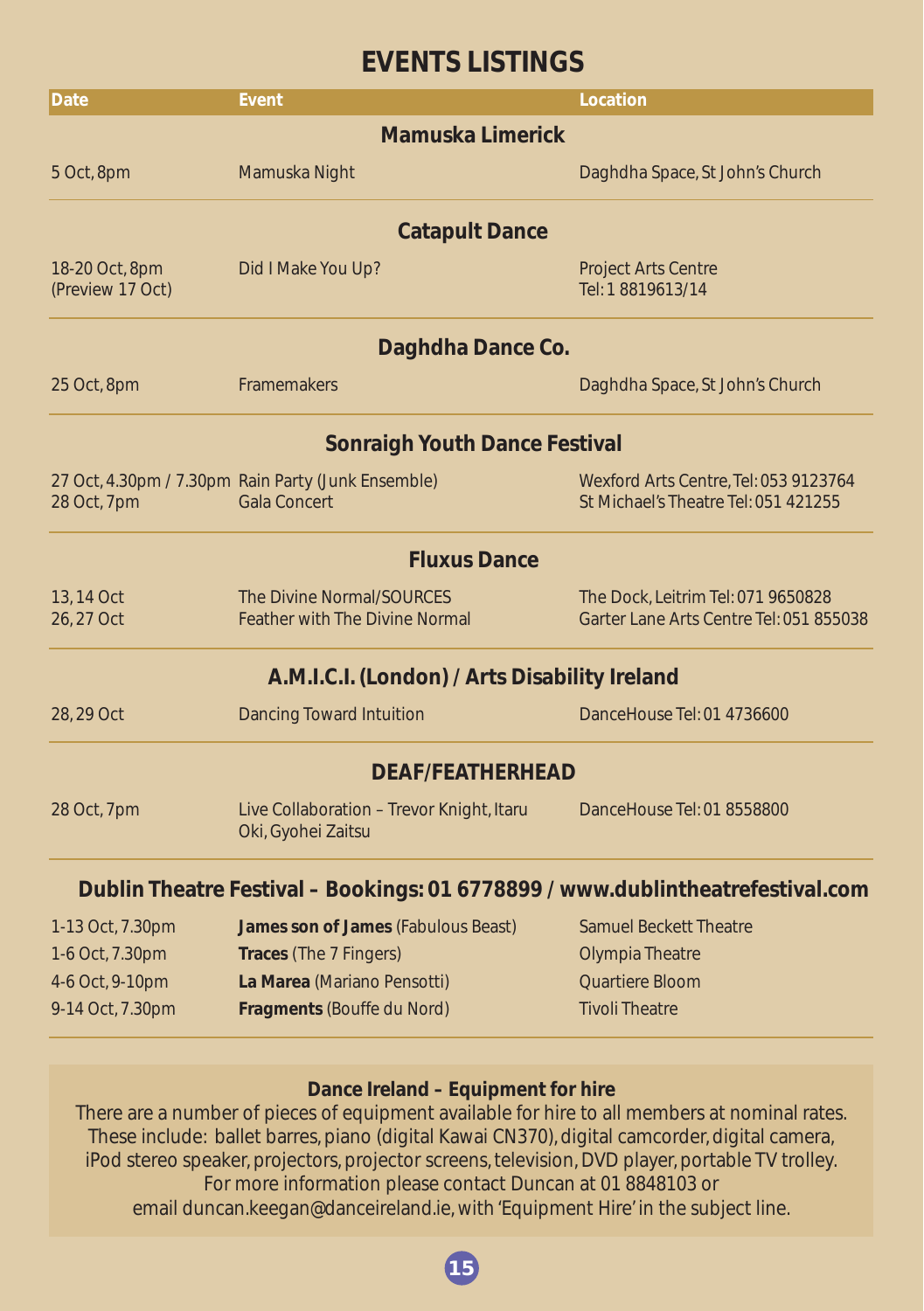# **EVENTS LISTINGS**

| <b>Date</b>                          | Event                                                                          | Location                                                                      |  |  |  |  |  |
|--------------------------------------|--------------------------------------------------------------------------------|-------------------------------------------------------------------------------|--|--|--|--|--|
| <b>Mamuska Limerick</b>              |                                                                                |                                                                               |  |  |  |  |  |
| 5 Oct, 8pm                           | Mamuska Night                                                                  | Daghdha Space, St John's Church                                               |  |  |  |  |  |
| <b>Catapult Dance</b>                |                                                                                |                                                                               |  |  |  |  |  |
| 18-20 Oct, 8pm<br>(Preview 17 Oct)   | Did I Make You Up?                                                             | <b>Project Arts Centre</b><br>Tel: 1 8819613/14                               |  |  |  |  |  |
| Daghdha Dance Co.                    |                                                                                |                                                                               |  |  |  |  |  |
| 25 Oct, 8pm                          | <b>Framemakers</b>                                                             | Daghdha Space, St John's Church                                               |  |  |  |  |  |
| <b>Sonraigh Youth Dance Festival</b> |                                                                                |                                                                               |  |  |  |  |  |
| 28 Oct, 7pm                          | 27 Oct, 4.30pm / 7.30pm Rain Party (Junk Ensemble)<br><b>Gala Concert</b>      | Wexford Arts Centre, Tel: 053 9123764<br>St Michael's Theatre Tel: 051 421255 |  |  |  |  |  |
|                                      | <b>Fluxus Dance</b>                                                            |                                                                               |  |  |  |  |  |
| 13, 14 Oct<br>26, 27 Oct             | The Divine Normal/SOURCES<br><b>Feather with The Divine Normal</b>             | The Dock, Leitrim Tel: 071 9650828<br>Garter Lane Arts Centre Tel: 051 855038 |  |  |  |  |  |
|                                      | A.M.I.C.I. (London) / Arts Disability Ireland                                  |                                                                               |  |  |  |  |  |
| 28, 29 Oct                           | <b>Dancing Toward Intuition</b>                                                | DanceHouse Tel: 01 4736600                                                    |  |  |  |  |  |
| <b>DEAF/FEATHERHEAD</b>              |                                                                                |                                                                               |  |  |  |  |  |
| 28 Oct, 7pm                          | Live Collaboration - Trevor Knight, Itaru<br>Oki, Gyohei Zaitsu                | DanceHouse Tel: 01 8558800                                                    |  |  |  |  |  |
|                                      | Dublin Theatre Festival - Bookings: 01 6778899 / www.dublintheatrefestival.com |                                                                               |  |  |  |  |  |
| 1-13 Oct, 7.30pm                     | James son of James (Fabulous Beast)                                            | <b>Samuel Beckett Theatre</b>                                                 |  |  |  |  |  |
| 1-6 Oct, 7.30pm                      | <b>Traces (The 7 Fingers)</b>                                                  | <b>Olympia Theatre</b>                                                        |  |  |  |  |  |

4-6 Oct, 9-10pm **La Marea** (Mariano Pensotti) Quartiere Bloom 9-14 Oct, 7.30pm **Fragments** (Bouffe du Nord) Tivoli Theatre

#### **Dance Ireland – Equipment for hire**

There are a number of pieces of equipment available for hire to all members at nominal rates. These include: ballet barres, piano (digital Kawai CN370), digital camcorder, digital camera, iPod stereo speaker, projectors, projector screens, television, DVD player, portable TV trolley. For more information please contact Duncan at 01 8848103 or email duncan.keegan@danceireland.ie, with 'Equipment Hire' in the subject line.